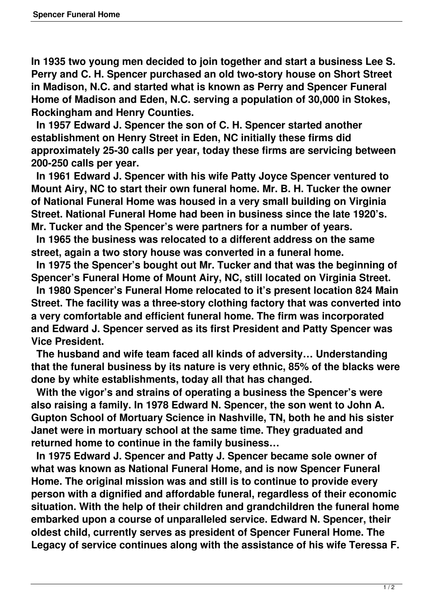**In 1935 two young men decided to join together and start a business Lee S. Perry and C. H. Spencer purchased an old two-story house on Short Street in Madison, N.C. and started what is known as Perry and Spencer Funeral Home of Madison and Eden, N.C. serving a population of 30,000 in Stokes, Rockingham and Henry Counties.**

 **In 1957 Edward J. Spencer the son of C. H. Spencer started another establishment on Henry Street in Eden, NC initially these firms did approximately 25-30 calls per year, today these firms are servicing between 200-250 calls per year.**

 **In 1961 Edward J. Spencer with his wife Patty Joyce Spencer ventured to Mount Airy, NC to start their own funeral home. Mr. B. H. Tucker the owner of National Funeral Home was housed in a very small building on Virginia Street. National Funeral Home had been in business since the late 1920's. Mr. Tucker and the Spencer's were partners for a number of years.**

 **In 1965 the business was relocated to a different address on the same street, again a two story house was converted in a funeral home.**

 **In 1975 the Spencer's bought out Mr. Tucker and that was the beginning of Spencer's Funeral Home of Mount Airy, NC, still located on Virginia Street.**

 **In 1980 Spencer's Funeral Home relocated to it's present location 824 Main Street. The facility was a three-story clothing factory that was converted into a very comfortable and efficient funeral home. The firm was incorporated and Edward J. Spencer served as its first President and Patty Spencer was Vice President.**

 **The husband and wife team faced all kinds of adversity… Understanding that the funeral business by its nature is very ethnic, 85% of the blacks were done by white establishments, today all that has changed.**

 **With the vigor's and strains of operating a business the Spencer's were also raising a family. In 1978 Edward N. Spencer, the son went to John A. Gupton School of Mortuary Science in Nashville, TN, both he and his sister Janet were in mortuary school at the same time. They graduated and returned home to continue in the family business…**

 **In 1975 Edward J. Spencer and Patty J. Spencer became sole owner of what was known as National Funeral Home, and is now Spencer Funeral Home. The original mission was and still is to continue to provide every person with a dignified and affordable funeral, regardless of their economic situation. With the help of their children and grandchildren the funeral home embarked upon a course of unparalleled service. Edward N. Spencer, their oldest child, currently serves as president of Spencer Funeral Home. The Legacy of service continues along with the assistance of his wife Teressa F.**